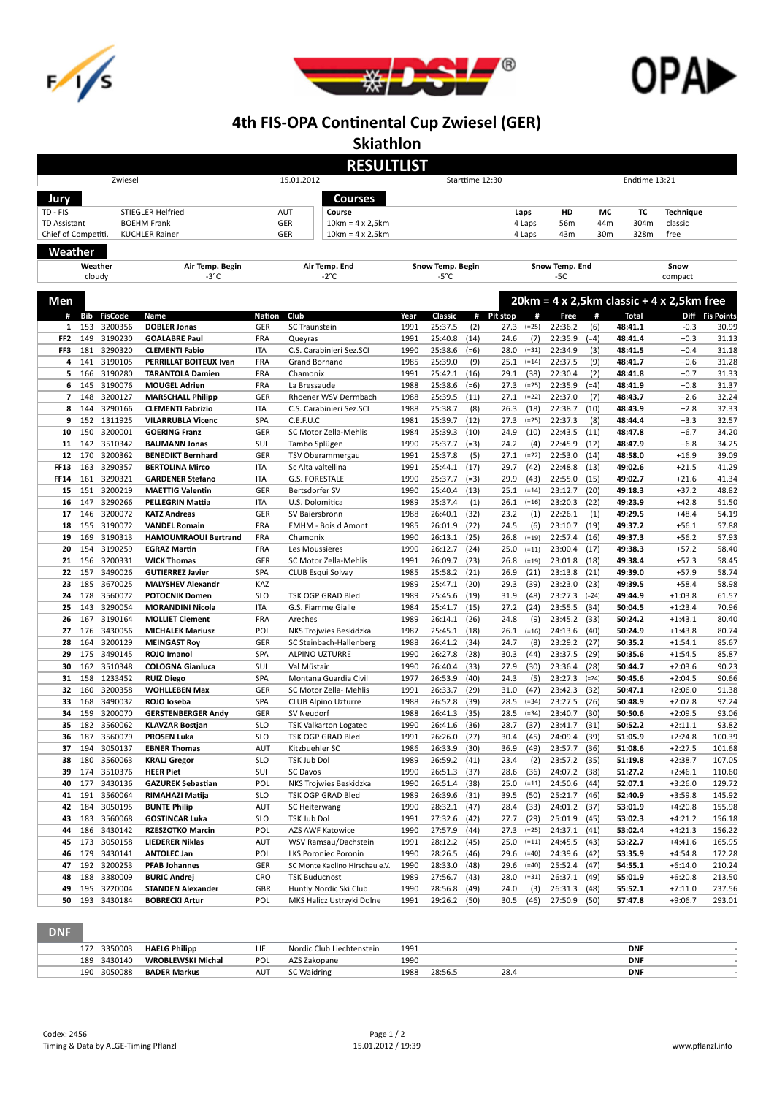





## 4th FIS-OPA Continental Cup Zwiesel (GER)

Skiathlon

|                      |            |                        |                                                     |                          | <b>RESULTLIST</b>                          |              |                    |                 |                                   |                    |               |                    |                                                  |                  |  |
|----------------------|------------|------------------------|-----------------------------------------------------|--------------------------|--------------------------------------------|--------------|--------------------|-----------------|-----------------------------------|--------------------|---------------|--------------------|--------------------------------------------------|------------------|--|
| Zwiesel              |            |                        |                                                     |                          | 15.01.2012                                 |              |                    | Starttime 12:30 |                                   |                    | Endtime 13:21 |                    |                                                  |                  |  |
| Jury                 |            |                        |                                                     |                          | Courses                                    |              |                    |                 |                                   |                    |               |                    |                                                  |                  |  |
| TD - FIS             |            |                        | <b>STIEGLER Helfried</b>                            |                          | AUT<br>Course                              |              |                    |                 | Laps                              | HD                 | МC            | ТC                 | <b>Technique</b>                                 |                  |  |
| <b>TD Assistant</b>  |            |                        | <b>BOEHM Frank</b>                                  |                          | GER<br>$10km = 4 \times 2,5km$             |              |                    |                 | 4 Laps                            | 56m                | 44m           | 304m               | classic                                          |                  |  |
| Chief of Competiti.  |            |                        | <b>KUCHLER Rainer</b>                               |                          | GER<br>$10km = 4 \times 2,5km$             |              |                    |                 | 4 Laps                            | 43m                | 30m           | 328m               | free                                             |                  |  |
| Weather              |            |                        |                                                     |                          |                                            |              |                    |                 |                                   |                    |               |                    |                                                  |                  |  |
|                      |            | Weather                | Air Temp. Begin                                     |                          | Air Temp. End                              |              | Snow Temp. Begin   |                 |                                   | Snow Temp. End     |               |                    | Snow                                             |                  |  |
|                      | cloudy     |                        | -3°C                                                |                          | $-2^{\circ}C$                              |              | -5°C               |                 |                                   | -5C                |               |                    | compact                                          |                  |  |
|                      |            |                        |                                                     |                          |                                            |              |                    |                 |                                   |                    |               |                    |                                                  |                  |  |
| Men                  |            |                        |                                                     |                          |                                            |              |                    |                 |                                   |                    |               |                    | $20km = 4 \times 2,5km$ classic + 4 x 2,5km free |                  |  |
| #                    | Bib        | <b>FisCode</b>         | Name                                                | Nation                   | Club                                       | Year         | Classic            |                 | # Pit stop<br>#                   | Free               | #             | <b>Total</b>       |                                                  | Diff Fis Points  |  |
| 1<br>FF <sub>2</sub> | 153<br>149 | 3200356<br>3190230     | <b>DOBLER Jonas</b><br><b>GOALABRE Paul</b>         | GER<br><b>FRA</b>        | SC Traunstein<br>Queyras                   | 1991<br>1991 | 25:37.5<br>25:40.8 | (2)<br>(14)     | 27.3<br>$(=25)$<br>(7)<br>24.6    | 22:36.2<br>22:35.9 | (6)<br>(=4)   | 48:41.1<br>48:41.4 | $-0.3$<br>$+0.3$                                 | 30.99<br>31.13   |  |
| FF3                  | 181        | 3290320                | <b>CLEMENTI Fabio</b>                               | <b>ITA</b>               | C.S. Carabinieri Sez.SCI                   | 1990         | 25:38.6            | $(=6)$          | 28.0<br>$( = 31)$                 | 22:34.9            | (3)           | 48:41.5            | $+0.4$                                           | 31.18            |  |
| 4                    | 141        | 3190105                | PERRILLAT BOITEUX Ivan                              | <b>FRA</b>               | Grand Bornand                              | 1985         | 25:39.0            | (9)             | 25.1<br>$(=14)$                   | 22:37.5            | (9)           | 48:41.7            | $+0.6$                                           | 31.28            |  |
| 5                    | 166        | 3190280                | <b>TARANTOLA Damien</b>                             | <b>FRA</b>               | Chamonix                                   | 1991         | 25:42.1            | (16)            | (38)<br>29.1                      | 22:30.4            | (2)           | 48:41.8            | $+0.7$                                           | 31.33            |  |
| 6                    | 145        | 3190076                | <b>MOUGEL Adrien</b>                                | <b>FRA</b>               | La Bressaude                               | 1988         | 25:38.6            | $(=6)$          | 27.3<br>$(=25)$                   | 22:35.9            | (=4)          | 48:41.9            | $+0.8$                                           | 31.37            |  |
| $\overline{7}$       | 148        | 3200127                | <b>MARSCHALL Philipp</b>                            | GER                      | Rhoener WSV Dermbach                       | 1988         | 25:39.5            | (11)            | 27.1<br>$(=22)$                   | 22:37.0            | (7)           | 48:43.7            | $+2.6$                                           | 32.24            |  |
| 8                    | 144        | 3290166                | <b>CLEMENTI Fabrizio</b>                            | ITA                      | C.S. Carabinieri Sez.SCI                   | 1988         | 25:38.7            | (8)             | 26.3<br>(18)                      | 22:38.7            | (10)          | 48:43.9            | $+2.8$                                           | 32.33            |  |
| 9<br>10              | 152<br>150 | 1311925<br>3200001     | <b>VILARRUBLA Vicenc</b><br><b>GOERING Franz</b>    | SPA<br>GER               | C.E.F.U.C<br>SC Motor Zella-Mehlis         | 1981<br>1984 | 25:39.7<br>25:39.3 | (12)<br>(10)    | 27.3<br>$(=25)$<br>24.9<br>(10)   | 22:37.3<br>22:43.5 | (8)<br>(11)   | 48:44.4<br>48:47.8 | $+3.3$<br>$+6.7$                                 | 32.57<br>34.20   |  |
| 11                   | 142        | 3510342                | <b>BAUMANN Jonas</b>                                | SUI                      | Tambo Splügen                              | 1990         | 25:37.7            | $(=3)$          | 24.2<br>(4)                       | 22:45.9            | (12)          | 48:47.9            | $+6.8$                                           | 34.25            |  |
| 12                   | 170        | 3200362                | <b>BENEDIKT Bernhard</b>                            | GER                      | TSV Oberammergau                           | 1991         | 25:37.8            | (5)             | 27.1<br>$(=22)$                   | 22:53.0            | (14)          | 48:58.0            | $+16.9$                                          | 39.09            |  |
| <b>FF13</b>          | 163        | 3290357                | <b>BERTOLINA Mirco</b>                              | <b>ITA</b>               | Sc Alta valtellina                         | 1991         | 25:44.1            | (17)            | 29.7<br>(42)                      | 22:48.8            | (13)          | 49:02.6            | $+21.5$                                          | 41.29            |  |
| <b>FF14</b>          | 161        | 3290321                | <b>GARDENER Stefano</b>                             | <b>ITA</b>               | G.S. FORESTALE                             | 1990         | 25:37.7            | $(=3)$          | 29.9<br>(43)                      | 22:55.0            | (15)          | 49:02.7            | $+21.6$                                          | 41.34            |  |
| 15                   | 151        | 3200219                | <b>MAETTIG Valentin</b>                             | GER                      | Bertsdorfer SV                             | 1990         | 25:40.4            | (13)            | 25.1<br>$(=14)$                   | 23:12.7            | (20)          | 49:18.3            | $+37.2$                                          | 48.82            |  |
| 16                   | 147        | 3290266                | <b>PELLEGRIN Mattia</b>                             | ITA                      | U.S. Dolomitica                            | 1989         | 25:37.4            | (1)             | 26.1<br>$(=16)$                   | 23:20.3            | (22)          | 49:23.9            | $+42.8$                                          | 51.50            |  |
| 17                   | 146        | 3200072                | <b>KATZ Andreas</b>                                 | GER                      | SV Baiersbronn                             | 1988         | 26:40.1            | (32)            | 23.2<br>(1)                       | 22:26.1            | (1)           | 49:29.5            | $+48.4$                                          | 54.19            |  |
| 18<br>19             | 155<br>169 | 3190072<br>3190313     | <b>VANDEL Romain</b><br><b>HAMOUMRAOUI Bertrand</b> | <b>FRA</b><br><b>FRA</b> | <b>EMHM - Bois d Amont</b><br>Chamonix     | 1985<br>1990 | 26:01.9<br>26:13.1 | (22)<br>(25)    | 24.5<br>(6)<br>26.8<br>$(=19)$    | 23:10.7<br>22:57.4 | (19)<br>(16)  | 49:37.2<br>49:37.3 | $+56.1$<br>$+56.2$                               | 57.88<br>57.93   |  |
| 20                   | 154        | 3190259                | <b>EGRAZ Martin</b>                                 | <b>FRA</b>               | Les Moussieres                             | 1990         | 26:12.7            | (24)            | $(=11)$<br>25.0                   | 23:00.4            | (17)          | 49:38.3            | $+57.2$                                          | 58.40            |  |
| 21                   | 156        | 3200331                | <b>WICK Thomas</b>                                  | GER                      | SC Motor Zella-Mehlis                      | 1991         | 26:09.7            | (23)            | 26.8<br>$(=19)$                   | 23:01.8            | (18)          | 49:38.4            | $+57.3$                                          | 58.45            |  |
| 22                   | 157        | 3490026                | <b>GUTIERREZ Javier</b>                             | SPA                      | <b>CLUB Esqui Solvay</b>                   | 1985         | 25:58.2            | (21)            | 26.9<br>(21)                      | 23:13.8            | (21)          | 49:39.0            | $+57.9$                                          | 58.74            |  |
| 23                   | 185        | 3670025                | <b>MALYSHEV Alexandr</b>                            | KAZ                      |                                            | 1989         | 25:47.1            | (20)            | 29.3<br>(39)                      | 23:23.0            | (23)          | 49:39.5            | $+58.4$                                          | 58.98            |  |
| 24                   | 178        | 3560072                | <b>POTOCNIK Domen</b>                               | <b>SLO</b>               | TSK OGP GRAD Bled                          | 1989         | 25:45.6            | (19)            | (48)<br>31.9                      | 23:27.3            | $(=24)$       | 49:44.9            | $+1:03.8$                                        | 61.57            |  |
| 25                   | 143        | 3290054                | <b>MORANDINI Nicola</b>                             | <b>ITA</b>               | G.S. Fiamme Gialle                         | 1984         | 25:41.7            | (15)            | 27.2<br>(24)                      | 23:55.5            | (34)          | 50:04.5            | $+1:23.4$                                        | 70.96            |  |
| 26<br>27             | 167<br>176 | 3190164<br>3430056     | <b>MOLLIET Clement</b>                              | <b>FRA</b><br>POL        | Areches<br>NKS Trojwies Beskidzka          | 1989<br>1987 | 26:14.1<br>25:45.1 | (26)<br>(18)    | 24.8<br>(9)<br>$(=16)$            | 23:45.2<br>24:13.6 | (33)<br>(40)  | 50:24.2<br>50:24.9 | $+1:43.1$                                        | 80.40<br>80.74   |  |
| 28                   | 164        | 3200129                | <b>MICHALEK Mariusz</b><br><b>MEINGAST Roy</b>      | GER                      | SC Steinbach-Hallenberg                    | 1988         | 26:41.2            | (34)            | 26.1<br>(8)<br>24.7               | 23:29.2            | (27)          | 50:35.2            | $+1:43.8$<br>$+1:54.1$                           | 85.67            |  |
| 29                   | 175        | 3490145                | ROJO Imanol                                         | SPA                      | ALPINO UZTURRE                             | 1990         | 26:27.8            | (28)            | (44)<br>30.3                      | 23:37.5            | (29)          | 50:35.6            | $+1:54.5$                                        | 85.87            |  |
| 30                   | 162        | 3510348                | <b>COLOGNA Gianluca</b>                             | SUI                      | Val Müstair                                | 1990         | 26:40.4            | (33)            | (30)<br>27.9                      | 23:36.4            | (28)          | 50:44.7            | $+2:03.6$                                        | 90.23            |  |
| 31                   | 158        | 1233452                | <b>RUIZ Diego</b>                                   | SPA                      | Montana Guardia Civil                      | 1977         | 26:53.9            | (40)            | 24.3<br>(5)                       | 23:27.3            | $(=24)$       | 50:45.6            | $+2:04.5$                                        | 90.66            |  |
| 32                   | 160        | 3200358                | <b>WOHLLEBEN Max</b>                                | GER                      | SC Motor Zella- Mehlis                     | 1991         | 26:33.7            | (29)            | (47)<br>31.0                      | 23:42.3            | (32)          | 50:47.1            | $+2:06.0$                                        | 91.38            |  |
| 33                   | 168        | 3490032                | ROJO loseba                                         | SPA                      | <b>CLUB Alpino Uzturre</b>                 | 1988         | 26:52.8            | (39)            | 28.5<br>$(=34)$                   | 23:27.5            | (26)          | 50:48.9            | $+2:07.8$                                        | 92.24            |  |
| 34<br>35             | 159<br>182 | 3200070<br>3560062     | <b>GERSTENBERGER Andy</b><br><b>KLAVZAR Bostjan</b> | GER<br><b>SLO</b>        | SV Neudorf<br><b>TSK Valkarton Logatec</b> | 1988<br>1990 | 26:41.3<br>26:41.6 | (35)<br>(36)    | 28.5<br>$( = 34)$<br>(37)<br>28.7 | 23:40.7<br>23:41.7 | (30)<br>(31)  | 50:50.6<br>50:52.2 | $+2:09.5$<br>$+2:11.1$                           | 93.06<br>93.82   |  |
| 36                   | 187        | 3560079                | <b>PROSEN Luka</b>                                  | <b>SLO</b>               | <b>TSK OGP GRAD Bled</b>                   | 1991         | 26:26.0            | (27)            | 30.4<br>(45)                      | 24:09.4            | (39)          | 51:05.9            | $+2:24.8$                                        | 100.39           |  |
| 37                   | 194        | 3050137                | <b>EBNER Thomas</b>                                 | AUT                      | Kitzbuehler SC                             | 1986         | 26:33.9            | (30)            | (49)<br>36.9                      | 23:57.7            | (36)          | 51:08.6            | $+2:27.5$                                        | 101.68           |  |
| 38                   | 180        | 3560063                | <b>KRALJ Gregor</b>                                 | <b>SLO</b>               | TSK Jub Dol                                | 1989         | 26:59.2            | (41)            | 23.4<br>(2)                       | 23:57.2            | (35)          | 51:19.8            | $+2:38.7$                                        | 107.05           |  |
| 39                   |            | 174 3510376            | <b>HEER Piet</b>                                    | SUI                      | SC Davos                                   | 1990         | 26:51.3            | (37)            | (36)<br>28.6                      | 24:07.2            | (38)          | 51:27.2            | $+2:46.1$                                        | 110.60           |  |
| 40                   |            | 177 3430136            | <b>GAZUREK Sebastian</b>                            | POL                      | NKS Trojwies Beskidzka                     | 1990         | 26:51.4            | (38)            | $25.0$ (=11)                      | 24:50.6            | (44)          | 52:07.1            | $+3:26.0$                                        | 129.72           |  |
| 41                   | 191        | 3560064                | RIMAHAZI Matija                                     | <b>SLO</b>               | TSK OGP GRAD Bled                          | 1989         | 26:39.6            | (31)            | (50)<br>39.5                      | 25:21.7            | (46)          | 52:40.9            | $+3:59.8$                                        | 145.92           |  |
| 42                   | 184        | 3050195                | <b>BUNTE Philip</b>                                 | AUT                      | SC Heiterwang                              | 1990         | 28:32.1            | (47)            | (33)<br>28.4                      | 24:01.2<br>25:01.9 | (37)          | 53:01.9            | $+4:20.8$                                        | 155.98           |  |
| 43<br>44             | 186        | 183 3560068<br>3430142 | <b>GOSTINCAR Luka</b><br>RZESZOTKO Marcin           | <b>SLO</b><br>POL        | TSK Jub Dol<br>AZS AWF Katowice            | 1991<br>1990 | 27:32.6<br>27:57.9 | (42)<br>(44)    | 27.7<br>(29)<br>$(=25)$<br>27.3   | 24:37.1            | (45)<br>(41)  | 53:02.3<br>53:02.4 | $+4:21.2$<br>$+4:21.3$                           | 156.18<br>156.22 |  |
| 45                   |            | 173 3050158            | <b>LIEDERER Niklas</b>                              | AUT                      | WSV Ramsau/Dachstein                       | 1991         | 28:12.2            | (45)            | 25.0<br>$(=11)$                   | 24:45.5            | (43)          | 53:22.7            | $+4:41.6$                                        | 165.95           |  |
| 46                   | 179        | 3430141                | <b>ANTOLEC Jan</b>                                  | POL                      | <b>LKS Poroniec Poronin</b>                | 1990         | 28:26.5            | (46)            | 29.6<br>$(=40)$                   | 24:39.6            | (42)          | 53:35.9            | $+4:54.8$                                        | 172.28           |  |
| 47                   |            | 192 3200253            | <b>PFAB Johannes</b>                                | GER                      | SC Monte Kaolino Hirschau e.V.             | 1990         | 28:33.0            | (48)            | $29.6$ (=40)                      | 25:52.4            | (47)          | 54:55.1            | $+6:14.0$                                        | 210.24           |  |
| 48                   | 188        | 3380009                | <b>BURIC Andrej</b>                                 | CRO                      | <b>TSK Buducnost</b>                       | 1989         | 27:56.7            | (43)            | 28.0<br>$( = 31)$                 | 26:37.1            | (49)          | 55:01.9            | $+6:20.8$                                        | 213.50           |  |
| 49                   | 195        | 3220004                | <b>STANDEN Alexander</b>                            | GBR                      | Huntly Nordic Ski Club                     | 1990         | 28:56.8            | (49)            | (3)<br>24.0                       | 26:31.3            | (48)          | 55:52.1            | $+7:11.0$                                        | 237.56           |  |
| 50                   |            | 193 3430184            | <b>BOBRECKI Artur</b>                               | POL                      | MKS Halicz Ustrzyki Dolne                  | 1991         | 29:26.2 (50)       |                 | (46)<br>30.5                      | 27:50.9 (50)       |               | 57:47.8            | $+9:06.7$                                        | 293.01           |  |

| <b>DNF</b>     |                      |            |                           |      |         |      |            |  |
|----------------|----------------------|------------|---------------------------|------|---------|------|------------|--|
| 172 3350003    | <b>HAELG Philipp</b> | LIE        | Nordic Club Liechtenstein | 1991 |         |      | <b>DNF</b> |  |
| 3430140<br>189 | WROBLEWSKI Michal    | <b>POL</b> | AZS Zakopane              | 1990 |         |      | <b>DNF</b> |  |
| 3050088<br>190 | <b>BADER Markus</b>  | <b>AUT</b> | <b>SC Waidring</b>        | 1988 | 28:56.5 | 28.4 | <b>DNF</b> |  |